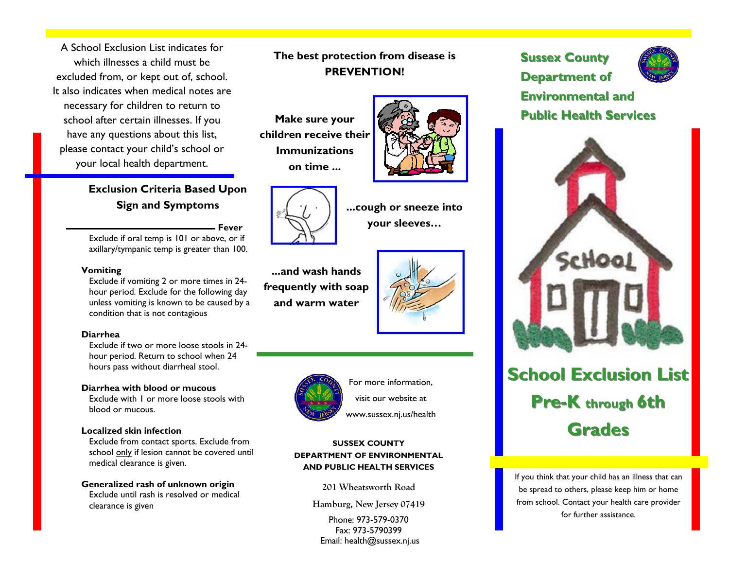A School Exclusion List indicates for which illnesses a child must be excluded from, or kept out of, school. It also indicates when medical notes are necessary for children to return to school after certain illnesses. If you have any questions about this list, please contact your child's school or your local health department.

## **Exclusion Criteria Based Upon Sign and Symptoms**

**Fever**Exclude if oral temp is 101 or above, or if axillary/tympanic temp is greater than 100.

#### **Vomiting**

Exclude if vomiting 2 or more times in 24 hour period. Exclude for the following day unless vomiting is known to be caused by a condition that is not contagious

#### **Diarrhea**

Exclude if two or more loose stools in 24hour period. Return to school when 24 hours pass without diarrheal stool.

#### **Diarrhea with blood or mucous**

Exclude with 1 or more loose stools with blood or mucous.

#### **Localized skin infection**

Exclude from contact sports. Exclude from school only if lesion cannot be covered until medical clearance is given.

**Generalized rash of unknown origin**  Exclude until rash is resolved or medical clearance is given

## **The best protection from disease is PREVENTION!**

**Make sure your children receive their Immunizations on time ...** 





**...cough or sneeze into your sleeves…** 

**...and wash hands frequently with soap and warm water** 





For more information, visit our website at

www.sussex.nj.us/health

#### **SUSSEX COUNTY DEPARTMENT OF ENVIRONMENTAL AND PUBLIC HEALTH SERVICES**

**201 Wheatsworth Road** 

**Hamburg, New Jersey 07419** 

Phone: 973-579-0370 Fax: 973-5790399 Email: health@sussex.nj.us

### **Sussex County**

**Department of** 



# **Environmental and Environmental and Public Health Services Public Health Services**



# **School Exclusion List Pre-K** through 6th **Grades**

If you think that your child has an illness that can be spread to others, please keep him or home from school. Contact your health care provider for further assistance.